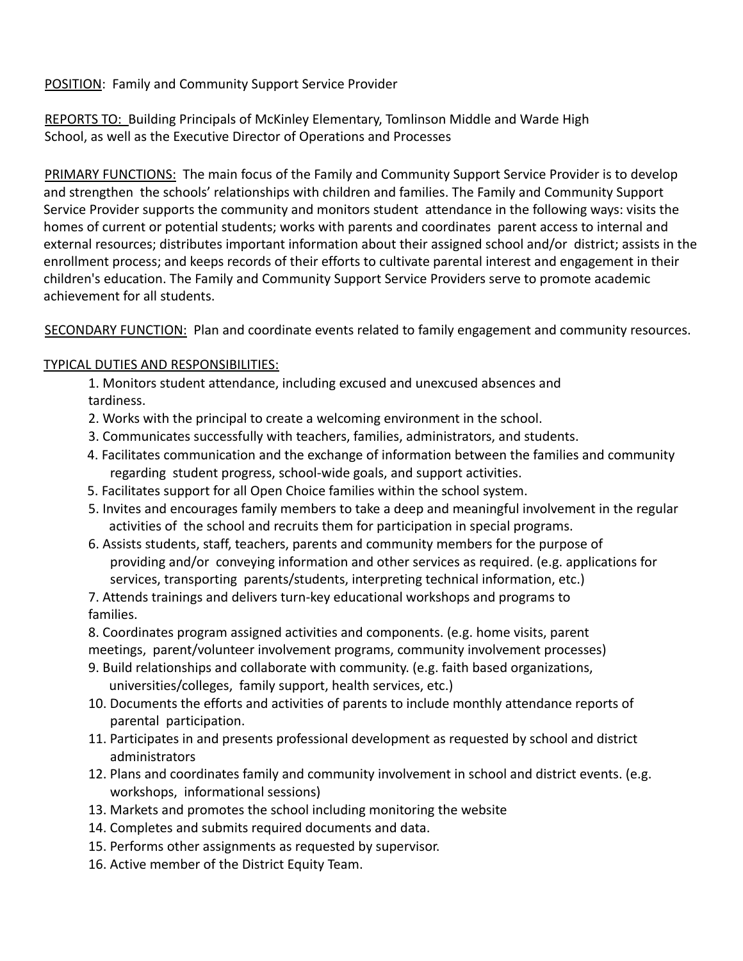# POSITION: Family and Community Support Service Provider

REPORTS TO: Building Principals of McKinley Elementary, Tomlinson Middle and Warde High School, as well as the Executive Director of Operations and Processes

PRIMARY FUNCTIONS: The main focus of the Family and Community Support Service Provider is to develop and strengthen the schools' relationships with children and families. The Family and Community Support Service Provider supports the community and monitors student attendance in the following ways: visits the homes of current or potential students; works with parents and coordinates parent access to internal and external resources; distributes important information about their assigned school and/or district; assists in the enrollment process; and keeps records of their efforts to cultivate parental interest and engagement in their children's education. The Family and Community Support Service Providers serve to promote academic achievement for all students.

SECONDARY FUNCTION: Plan and coordinate events related to family engagement and community resources.

#### TYPICAL DUTIES AND RESPONSIBILITIES:

1. Monitors student attendance, including excused and unexcused absences and tardiness.

- 2. Works with the principal to create a welcoming environment in the school.
- 3. Communicates successfully with teachers, families, administrators, and students.
- 4. Facilitates communication and the exchange of information between the families and community regarding student progress, school-wide goals, and support activities.
- 5. Facilitates support for all Open Choice families within the school system.
- 5. Invites and encourages family members to take a deep and meaningful involvement in the regular activities of the school and recruits them for participation in special programs.
- 6. Assists students, staff, teachers, parents and community members for the purpose of providing and/or conveying information and other services as required. (e.g. applications for services, transporting parents/students, interpreting technical information, etc.)

7. Attends trainings and delivers turn-key educational workshops and programs to families.

8. Coordinates program assigned activities and components. (e.g. home visits, parent meetings, parent/volunteer involvement programs, community involvement processes)

- 9. Build relationships and collaborate with community. (e.g. faith based organizations, universities/colleges, family support, health services, etc.)
- 10. Documents the efforts and activities of parents to include monthly attendance reports of parental participation.
- 11. Participates in and presents professional development as requested by school and district administrators
- 12. Plans and coordinates family and community involvement in school and district events. (e.g. workshops, informational sessions)
- 13. Markets and promotes the school including monitoring the website
- 14. Completes and submits required documents and data.
- 15. Performs other assignments as requested by supervisor.
- 16. Active member of the District Equity Team.